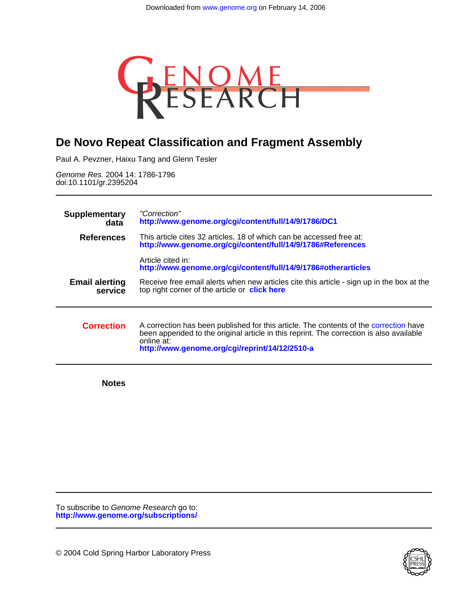

# **De Novo Repeat Classification and Fragment Assembly**

Paul A. Pevzner, Haixu Tang and Glenn Tesler

doi:10.1101/gr.2395204 Genome Res. 2004 14: 1786-1796

| <b>Supplementary</b><br>data     | "Correction"<br>http://www.genome.org/cgi/content/full/14/9/1786/DC1                                                                                                                                                                             |  |  |  |  |
|----------------------------------|--------------------------------------------------------------------------------------------------------------------------------------------------------------------------------------------------------------------------------------------------|--|--|--|--|
| <b>References</b>                | This article cites 32 articles, 18 of which can be accessed free at:<br>http://www.genome.org/cgi/content/full/14/9/1786#References                                                                                                              |  |  |  |  |
|                                  | Article cited in:<br>http://www.genome.org/cgi/content/full/14/9/1786#otherarticles                                                                                                                                                              |  |  |  |  |
| <b>Email alerting</b><br>service | Receive free email alerts when new articles cite this article - sign up in the box at the<br>top right corner of the article or click here                                                                                                       |  |  |  |  |
| <b>Correction</b>                | A correction has been published for this article. The contents of the correction have<br>been appended to the original article in this reprint. The correction is also available<br>online at:<br>http://www.genome.org/cgi/reprint/14/12/2510-a |  |  |  |  |

**Notes**

**<http://www.genome.org/subscriptions/>** To subscribe to Genome Research go to:

© 2004 Cold Spring Harbor Laboratory Press

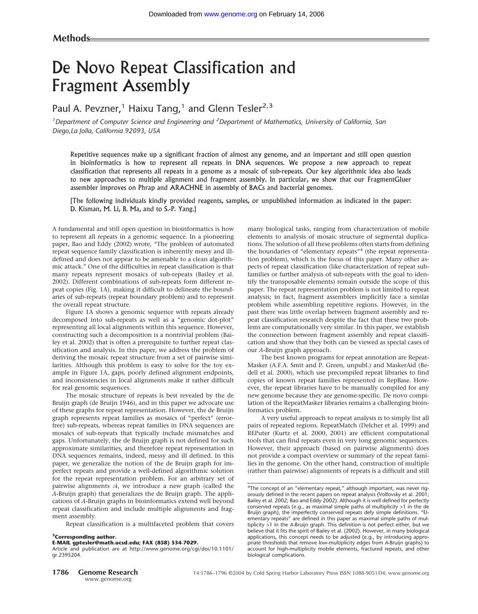# De Novo Repeat Classification and Fragment Assembly

# Paul A. Pevzner,<sup>1</sup> Haixu Tang,<sup>1</sup> and Glenn Tesler<sup>2,3</sup>

<sup>1</sup> Department of Computer Science and Engineering and <sup>2</sup> Department of Mathematics, University of California, San *Diego,La Jolla, California 92093, USA*

Repetitive sequences make up a significant fraction of almost any genome, and an important and still open question in bioinformatics is how to represent all repeats in DNA sequences. We propose a new approach to repeat classification that represents all repeats in a genome as a mosaic of sub-repeats. Our key algorithmic idea also leads to new approaches to multiple alignment and fragment assembly. In particular, we show that our FragmentGluer assembler improves on Phrap and ARACHNE in assembly of BACs and bacterial genomes.

[The following individuals kindly provided reagents, samples, or unpublished information as indicated in the paper: D. Kisman, M. Li, B. Ma, and to S.-P. Yang.]

A fundamental and still open question in bioinformatics is how to represent all repeats in a genomic sequence. In a pioneering paper, Bao and Eddy (2002) wrote, "The problem of automated repeat sequence family classification is inherently messy and illdefined and does not appear to be amenable to a clean algorithmic attack." One of the difficulties in repeat classification is that many repeats represent mosaics of sub-repeats (Bailey et al. 2002). Different combinations of sub-repeats form different repeat copies (Fig. 1A), making it difficult to delineate the boundaries of sub-repeats (repeat boundary problem) and to represent the overall repeat structure.

Figure 1A shows a genomic sequence with repeats already decomposed into sub-repeats as well as a "genomic dot-plot" representing all local alignments within this sequence. However, constructing such a decomposition is a nontrivial problem (Bailey et al. 2002) that is often a prerequisite to further repeat classification and analysis. In this paper, we address the problem of deriving the mosaic repeat structure from a set of pairwise similarities. Although this problem is easy to solve for the toy example in Figure 1A, gaps, poorly defined alignment endpoints, and inconsistencies in local alignments make it rather difficult for real genomic sequences.

The mosaic structure of repeats is best revealed by the de Bruijn graph (de Bruijn 1946), and in this paper we advocate use of these graphs for repeat representation. However, the de Bruijn graph represents repeat families as mosaics of "perfect" (errorfree) sub-repeats, whereas repeat families in DNA sequences are mosaics of sub-repeats that typically include mismatches and gaps. Unfortunately, the de Bruijn graph is not defined for such approximate similarities, and therefore repeat representation in DNA sequences remains, indeed, messy and ill defined. In this paper, we generalize the notion of the de Bruijn graph for imperfect repeats and provide a well-defined algorithmic solution for the repeat representation problem. For an arbitrary set of pairwise alignments  $A$ , we introduce a new graph (called the *A*-Bruijn graph) that generalizes the de Bruijn graph. The applications of *A*-Bruijn graphs in bioinformatics extend well beyond repeat classification and include multiple alignments and fragment assembly.

Repeat classification is a multifaceted problem that covers

#### **3Corresponding author.**

**E-MAIL gptesler@math.ucsd.edu; FAX (858) 534-7029.**

Article and publication are at http://www.genome.org/cgi/doi/10.1101/ gr.2395204.

many biological tasks, ranging from characterization of mobile elements to analysis of mosaic structure of segmental duplications. The solution of all these problems often starts from defining the boundaries of "elementary repeats"<sup>4</sup> (the repeat representation problem), which is the focus of this paper. Many other aspects of repeat classification (like characterization of repeat subfamilies or further analysis of sub-repeats with the goal to identify the transposable elements) remain outside the scope of this paper. The repeat representation problem is not limited to repeat analysis; in fact, fragment assemblers implicitly face a similar problem while assembling repetitive regions. However, in the past there was little overlap between fragment assembly and repeat classification research despite the fact that these two problems are computationally very similar. In this paper, we establish the connection between fragment assembly and repeat classification and show that they both can be viewed as special cases of our *A*-Bruijn graph approach.

The best known programs for repeat annotation are Repeat-Masker (A.F.A. Smit and P. Green, unpubl.) and MaskerAid (Bedell et al. 2000), which use precompiled repeat libraries to find copies of known repeat families represented in RepBase. However, the repeat libraries have to be manually compiled for any new genome because they are genome-specific. De novo compilation of the RepeatMasker libraries remains a challenging bioinformatics problem.

A very useful approach to repeat analysis is to simply list all pairs of repeated regions. RepeatMatch (Delcher et al. 1999) and REPuter (Kurtz et al. 2000, 2001) are efficient computational tools that can find repeats even in very long genomic sequences. However, their approach (based on pairwise alignments) does not provide a compact overview or summary of the repeat families in the genome. On the other hand, construction of multiple (rather than pairwise) alignments of repeats is a difficult and still

<sup>&</sup>lt;sup>4</sup>The concept of an "elementary repeat," although important, was never rigorously defined in the recent papers on repeat analysis (Volfovsky et al. 2001; Bailey et al. 2002; Bao and Eddy 2002). Although it is well defined for perfectly conserved repeats (e.g., as maximal simple paths of multiplicity >1 in the de Bruijn graph), the imperfectly conserved repeats defy simple definitions. "Elementary repeats" are defined in this paper as maximal simple paths of multiplicity >1 in the *A*-Bruijn graph. This definition is not perfect either, but we believe that it fits the spirit of Bailey et al. (2002). However, in many biological applications, this concept needs to be adjusted (e.g., by introducing appropriate thresholds that remove low-multiplicity edges from *A*-Bruijn graphs) to account for high-multiplicity mobile elements, fractured repeats, and other biological complications.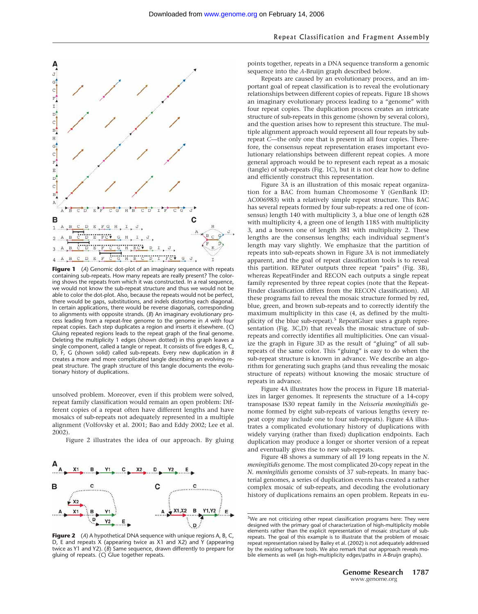

**Figure 1** (*A*) Genomic dot-plot of an imaginary sequence with repeats containing sub-repeats. How many repeats are really present? The coloring shows the repeats from which it was constructed. In a real sequence, we would not know the sub-repeat structure and thus we would not be able to color the dot-plot. Also, because the repeats would not be perfect, there would be gaps, substitutions, and indels distorting each diagonal. In certain applications, there would be reverse diagonals, corresponding to alignments with opposite strands. (*B*) An imaginary evolutionary process leading from a repeat-free genome to the genome in *A* with four repeat copies. Each step duplicates a region and inserts it elsewhere. (*C*) Gluing repeated regions leads to the repeat graph of the final genome. Deleting the multiplicity 1 edges (shown dotted) in this graph leaves a single component, called a tangle or repeat. It consists of five edges B, C, D, F, G (shown solid) called sub-repeats. Every new duplication in *B* creates a more and more complicated tangle describing an evolving repeat structure. The graph structure of this tangle documents the evolutionary history of duplications.

unsolved problem. Moreover, even if this problem were solved, repeat family classification would remain an open problem: Different copies of a repeat often have different lengths and have mosaics of sub-repeats not adequately represented in a multiple alignment (Volfovsky et al. 2001; Bao and Eddy 2002; Lee et al. 2002).

Figure 2 illustrates the idea of our approach. By gluing



**Figure 2** (*A*) A hypothetical DNA sequence with unique regions A, B, C, D, E and repeats X (appearing twice as X1 and X2) and Y (appearing twice as Y1 and Y2). (*B*) Same sequence, drawn differently to prepare for gluing of repeats. (*C*) Glue together repeats.

points together, repeats in a DNA sequence transform a genomic sequence into the *A*-Bruijn graph described below.

Repeats are caused by an evolutionary process, and an important goal of repeat classification is to reveal the evolutionary relationships between different copies of repeats. Figure 1B shows an imaginary evolutionary process leading to a "genome" with four repeat copies. The duplication process creates an intricate structure of sub-repeats in this genome (shown by several colors), and the question arises how to represent this structure. The multiple alignment approach would represent all four repeats by subrepeat *C*—the only one that is present in all four copies. Therefore, the consensus repeat representation erases important evolutionary relationships between different repeat copies. A more general approach would be to represent each repeat as a mosaic (tangle) of sub-repeats (Fig. 1C), but it is not clear how to define and efficiently construct this representation.

Figure 3A is an illustration of this mosaic repeat organization for a BAC from human Chromosome Y (GenBank ID: AC006983) with a relatively simple repeat structure. This BAC has several repeats formed by four sub-repeats: a red one of (consensus) length 140 with multiplicity 3, a blue one of length 628 with multiplicity 4, a green one of length 1185 with multiplicity 3, and a brown one of length 381 with multiplicity 2. These lengths are the consensus lengths; each individual segment's length may vary slightly. We emphasize that the partition of repeats into sub-repeats shown in Figure 3A is not immediately apparent, and the goal of repeat classification tools is to reveal this partition. REPuter outputs three repeat "pairs" (Fig. 3B), whereas RepeatFinder and RECON each outputs a single repeat family represented by three repeat copies (note that the Repeat-Finder classification differs from the RECON classification). All these programs fail to reveal the mosaic structure formed by red, blue, green, and brown sub-repeats and to correctly identify the maximum multiplicity in this case (4, as defined by the multiplicity of the blue sub-repeat).5 RepeatGluer uses a graph representation (Fig. 3C,D) that reveals the mosaic structure of subrepeats and correctly identifies all multiplicities. One can visualize the graph in Figure 3D as the result of "gluing" of all subrepeats of the same color. This "gluing" is easy to do when the sub-repeat structure is known in advance. We describe an algorithm for generating such graphs (and thus revealing the mosaic structure of repeats) without knowing the mosaic structure of repeats in advance.

Figure 4A illustrates how the process in Figure 1B materializes in larger genomes. It represents the structure of a 14-copy transposase IS30 repeat family in the *Neisseria meningitidis* genome formed by eight sub-repeats of various lengths (every repeat copy may include one to four sub-repeats). Figure 4A illustrates a complicated evolutionary history of duplications with widely varying (rather than fixed) duplication endpoints. Each duplication may produce a longer or shorter version of a repeat and eventually gives rise to new sub-repeats.

Figure 4B shows a summary of all 19 long repeats in the *N. meningitidis* genome. The most complicated 20-copy repeat in the *N. meningitidis* genome consists of 37 sub-repeats. In many bacterial genomes, a series of duplication events has created a rather complex mosaic of sub-repeats, and decoding the evolutionary history of duplications remains an open problem. Repeats in eu-

<sup>&</sup>lt;sup>5</sup>We are not criticizing other repeat classification programs here: They were designed with the primary goal of characterization of high-multiplicity mobile elements rather than the explicit representation of mosaic structure of subrepeats. The goal of this example is to illustrate that the problem of mosaic repeat representation raised by Bailey et al. (2002) is not adequately addressed by the existing software tools. We also remark that our approach reveals mobile elements as well (as high-multiplicity edges/paths in *A*-Bruijn graphs).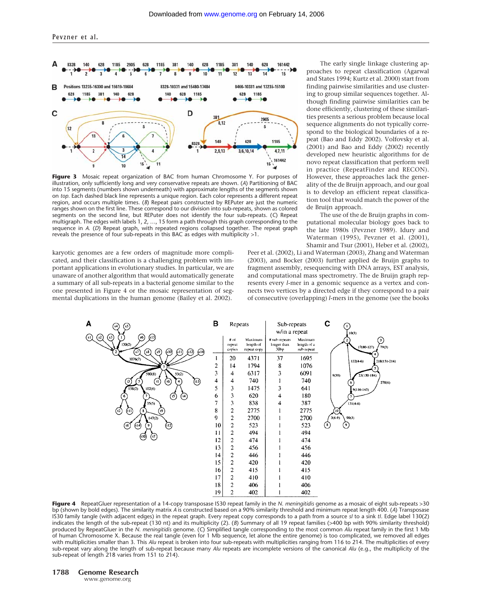

**Figure 3** Mosaic repeat organization of BAC from human Chromosome Y. For purposes of illustration, only sufficiently long and very conservative repeats are shown. (*A*) Partitioning of BAC into 15 segments (numbers shown underneath) with approximate lengths of the segments shown on *top.* Each dashed black line represents a unique region. Each color represents a different repeat region, and occurs multiple times. (*B*) Repeat pairs constructed by REPuter are just the numeric ranges shown on the first line. These correspond to our division into sub-repeats, shown as colored segments on the second line, but REPuter does not identify the four sub-repeats. (*C*) Repeat multigraph. The edges with labels 1, 2, …, 15 form a path through this graph corresponding to the sequence in *A*. (*D*) Repeat graph, with repeated regions collapsed together. The repeat graph reveals the presence of four sub-repeats in this BAC as edges with multiplicity >1.

karyotic genomes are a few orders of magnitude more complicated, and their classification is a challenging problem with important applications in evolutionary studies. In particular, we are unaware of another algorithm that would automatically generate a summary of all sub-repeats in a bacterial genome similar to the one presented in Figure 4 or the mosaic representation of segmental duplications in the human genome (Bailey et al. 2002).

The early single linkage clustering approaches to repeat classification (Agarwal and States 1994; Kurtz et al. 2000) start from finding pairwise similarities and use clustering to group similar sequences together. Although finding pairwise similarities can be done efficiently, clustering of these similarities presents a serious problem because local sequence alignments do not typically correspond to the biological boundaries of a repeat (Bao and Eddy 2002). Volfovsky et al. (2001) and Bao and Eddy (2002) recently developed new heuristic algorithms for de novo repeat classification that perform well in practice (RepeatFinder and RECON). However, these approaches lack the generality of the de Bruijn approach, and our goal is to develop an efficient repeat classification tool that would match the power of the de Bruijn approach.

The use of the de Bruijn graphs in computational molecular biology goes back to the late 1980s (Pevzner 1989). Idury and Waterman (1995), Pevzner et al. (2001), Shamir and Tsur (2001), Heber et al. (2002),

Peer et al. (2002), Li and Waterman (2003), Zhang and Waterman (2003), and Bocker (2003) further applied de Bruijn graphs to fragment assembly, resequencing with DNA arrays, EST analysis, and computational mass spectrometry. The de Bruijn graph represents every *l*-mer in a genomic sequence as a vertex and connects two vertices by a directed edge if they correspond to a pair of consecutive (overlapping) *l*-mers in the genome (see the books



**Figure 4** RepeatGluer representation of a 14-copy transposase IS30 repeat family in the *N. meningitidis* genome as a mosaic of eight sub-repeats >30 bp (shown by bold edges). The similarity matrix *A* is constructed based on a 90% similarity threshold and minimum repeat length 400. (*A*) Transposase IS30 family tangle (with adjacent edges) in the repeat graph. Every repeat copy corresponds to a path from a source *sI* to a sink *tI*. Edge label 130(2) indicates the length of the sub-repeat (130 nt) and its multiplicity (2). (*B*) Summary of all 19 repeat families (>400 bp with 90% similarity threshold) produced by RepeatGluer in the *N. meningitidis* genome. (*C*) Simplified tangle corresponding to the most common *Alu* repeat family in the first 1 Mb of human Chromosome X. Because the real tangle (even for 1 Mb sequence, let alone the entire genome) is too complicated, we removed all edges with multiplicities smaller than 3. This *Alu* repeat is broken into four sub-repeats with multiplicities ranging from 116 to 214. The multiplicities of every sub-repeat vary along the length of sub-repeat because many *Alu* repeats are incomplete versions of the canonical *Alu* (e.g., the multiplicity of the sub-repeat of length 218 varies from 151 to 214).

www.genome.org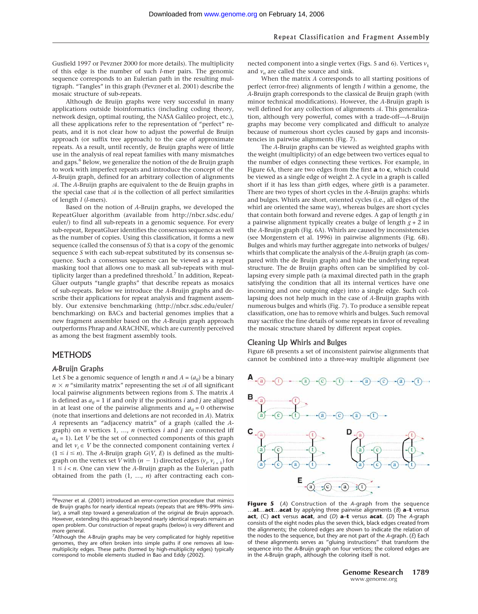Gusfield 1997 or Pevzner 2000 for more details). The multiplicity of this edge is the number of such *l*-mer pairs. The genomic sequence corresponds to an Eulerian path in the resulting multigraph. "Tangles" in this graph (Pevzner et al. 2001) describe the mosaic structure of sub-repeats.

Although de Bruijn graphs were very successful in many applications outside bioinformatics (including coding theory, network design, optimal routing, the NASA Galileo project, etc.), all these applications refer to the representation of "perfect" repeats, and it is not clear how to adjust the powerful de Bruijn approach (or suffix tree approach) to the case of approximate repeats. As a result, until recently, de Bruijn graphs were of little use in the analysis of real repeat families with many mismatches and gaps.<sup>6</sup> Below, we generalize the notion of the de Bruijn graph to work with imperfect repeats and introduce the concept of the *A*-Bruijn graph, defined for an arbitrary collection of alignments . The *A*-Bruijn graphs are equivalent to the de Bruijn graphs in the special case that  $A$  is the collection of all perfect similarities of length *l* (*l*-mers).

Based on the notion of *A*-Bruijn graphs, we developed the RepeatGluer algorithm (available from http://nbcr.sdsc.edu/ euler/) to find all sub-repeats in a genomic sequence. For every sub-repeat, RepeatGluer identifies the consensus sequence as well as the number of copies. Using this classification, it forms a new sequence (called the consensus of *S*) that is a copy of the genomic sequence *S* with each sub-repeat substituted by its consensus sequence. Such a consensus sequence can be viewed as a repeat masking tool that allows one to mask all sub-repeats with multiplicity larger than a predefined threshold.<sup>7</sup> In addition, Repeat-Gluer outputs "tangle graphs" that describe repeats as mosaics of sub-repeats. Below we introduce the *A*-Bruijn graphs and describe their applications for repeat analysis and fragment assembly. Our extensive benchmarking (http://nbcr.sdsc.edu/euler/ benchmarking) on BACs and bacterial genomes implies that a new fragment assembler based on the *A*-Bruijn graph approach outperforms Phrap and ARACHNE, which are currently perceived as among the best fragment assembly tools.

#### **METHODS**

#### *A*-Bruijn Graphs

Let *S* be a genomic sequence of length *n* and  $A = (a_{ij})$  be a binary  $n \times n$  "similarity matrix" representing the set  $\mathcal A$  of all significant local pairwise alignments between regions from *S*. The matrix *A* is defined as  $a_{ii} = 1$  if and only if the positions *i* and *j* are aligned in at least one of the pairwise alignments and  $a_{ii} = 0$  otherwise (note that insertions and deletions are not recorded in *A*). Matrix *A* represents an "adjacency matrix" of a graph (called the *A*graph) on *n* vertices 1, …, *n* (vertices *i* and *j* are connected iff  $a_{ii}$  = 1). Let *V* be the set of connected components of this graph and let  $v_i \in V$  be the connected component containing vertex *i*  $(1 \le i \le n)$ . The *A*-Bruijn graph *G*(*V*, *E*) is defined as the multigraph on the vertex set *V* with  $(n-1)$  directed edges  $(v_i, v_{i+1})$  for  $1 \leq i < n$ . One can view the *A*-Bruijn graph as the Eulerian path obtained from the path (1, …, *n*) after contracting each connected component into a single vertex (Figs. 5 and 6). Vertices  $v_1$ and  $v_n$  are called the source and sink.

When the matrix *A* corresponds to all starting positions of perfect (error-free) alignments of length *l* within a genome, the *A*-Bruijn graph corresponds to the classical de Bruijn graph (with minor technical modifications). However, the *A*-Bruijn graph is well defined for any collection of alignments  $A$ . This generalization, although very powerful, comes with a trade-off—*A*-Bruijn graphs may become very complicated and difficult to analyze because of numerous short cycles caused by gaps and inconsistencies in pairwise alignments (Fig. 7).

The *A*-Bruijn graphs can be viewed as weighted graphs with the weight (multiplicity) of an edge between two vertices equal to the number of edges connecting these vertices. For example, in Figure 6A, there are two edges from the first **a** to **c**, which could be viewed as a single edge of weight 2. A cycle in a graph is called short if it has less than *girth* edges, where *girth* is a parameter. There are two types of short cycles in the *A*-Bruijn graphs: whirls and bulges. Whirls are short, oriented cycles (i.e., all edges of the whirl are oriented the same way), whereas bulges are short cycles that contain both forward and reverse edges. A gap of length *g* in a pairwise alignment typically creates a bulge of length  $g + 2$  in the *A*-Bruijn graph (Fig. 6A). Whirls are caused by inconsistencies (see Morgenstern et al. 1996) in pairwise alignments (Fig. 6B). Bulges and whirls may further aggregate into networks of bulges/ whirls that complicate the analysis of the *A*-Bruijn graph (as compared with the de Bruijn graph) and hide the underlying repeat structure. The de Bruijn graphs often can be simplified by collapsing every simple path (a maximal directed path in the graph satisfying the condition that all its internal vertices have one incoming and one outgoing edge) into a single edge. Such collapsing does not help much in the case of *A*-Bruijn graphs with numerous bulges and whirls (Fig. 7). To produce a sensible repeat classification, one has to remove whirls and bulges. Such removal may sacrifice the fine details of some repeats in favor of revealing the mosaic structure shared by different repeat copies.

#### Cleaning Up Whirls and Bulges

Figure 6B presents a set of inconsistent pairwise alignments that cannot be combined into a three-way multiple alignment (see



**Figure 5** (*A*) Construction of the *A*-graph from the sequence …**at**…**act**…**acat** by applying three pairwise alignments (*B*) **a**–**t** versus **act**, (C) **act** versus **acat**, and (*D*) **a**–**t** versus **acat**. (*D*) The *A*-graph consists of the eight nodes plus the seven thick, black edges created from the alignments; the colored edges are shown to indicate the relation of the nodes to the sequence, but they are not part of the *A*-graph. (*E*) Each of these alignments serves as "gluing instructions" that transform the sequence into the *A*-Bruijn graph on four vertices; the colored edges are in the *A*-Bruijn graph, although the coloring itself is not.

<sup>6</sup> Pevzner et al. (2001) introduced an error-correction procedure that mimics de Bruijn graphs for nearly identical repeats (repeats that are 98%–99% similar), a small step toward a generalization of the original de Bruijn approach. However, extending this approach beyond nearly identical repeats remains an open problem. Our construction of repeat graphs (below) is very different and more general.

<sup>7</sup> Although the *A*-Bruijn graphs may be very complicated for highly repetitive genomes, they are often broken into simple paths if one removes all lowmultiplicity edges. These paths (formed by high-multiplicity edges) typically correspond to mobile elements studied in Bao and Eddy (2002).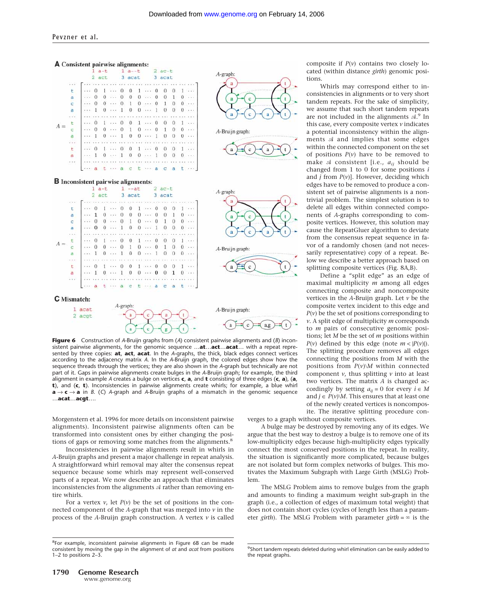

sistent pairwise alignments, for the genomic sequence …**at**…**act**…**acat**… with a repeat represented by three copies: **at**, **act**, **acat**. In the *A*-graphs, the thick, black edges connect vertices according to the adjacency matrix *A*. In the *A*-Bruijn graph, the colored edges show how the sequence threads through the vertices; they are also shown in the *A*-graph but technically are not part of it. Gaps in pairwise alignments create bulges in the *A*-Bruijn graph; for example, the third alignment in example *A* creates a bulge on vertices **c**, **a**, and **t** consisting of three edges (**c**, **a**), (**a**, **t**), and (**c**, **t**). Inconsistencies in pairwise alignments create whirls; for example, a blue whirl **a** → **c** → **a** in *B*. (*C*) *A*-graph and *A*-Bruijn graphs of a mismatch in the genomic sequence …**acat**…**acgt**….

Morgenstern et al. 1996 for more details on inconsistent pairwise alignments). Inconsistent pairwise alignments often can be transformed into consistent ones by either changing the positions of gaps or removing some matches from the alignments.<sup>8</sup>

Inconsistencies in pairwise alignments result in whirls in *A*-Bruijn graphs and present a major challenge in repeat analysis. A straightforward whirl removal may alter the consensus repeat sequence because some whirls may represent well-conserved parts of a repeat. We now describe an approach that eliminates inconsistencies from the alignments  $A$  rather than removing entire whirls.

For a vertex  $v$ , let  $P(v)$  be the set of positions in the connected component of the *A*-graph that was merged into *v* in the process of the *A*-Bruijn graph construction. A vertex  $\nu$  is called

Whirls may correspond either to inconsistencies in alignments or to very short tandem repeats. For the sake of simplicity, we assume that such short tandem repeats are not included in the alignments  $A$ .<sup>9</sup> In this case, every composite vertex *v* indicates a potential inconsistency within the alignments  $A$  and implies that some edges within the connected component on the set of positions  $P(v)$  have to be removed to make  $\mathcal A$  consistent [i.e.,  $a_{ii}$  should be changed from 1 to 0 for some positions *i* and *j* from *P*(*v*)]. However, deciding which edges have to be removed to produce a consistent set of pairwise alignments is a nontrivial problem. The simplest solution is to delete all edges within connected components of *A*-graphs corresponding to composite vertices. However, this solution may cause the RepeatGluer algorithm to deviate from the consensus repeat sequence in favor of a randomly chosen (and not necessarily representative) copy of a repeat. Below we describe a better approach based on splitting composite vertices (Fig. 8A,B).

Define a "split edge" as an edge of maximal multiplicity *m* among all edges connecting composite and noncomposite vertices in the *A*-Bruijn graph. Let *v* be the composite vertex incident to this edge and  $P(v)$  be the set of positions corresponding to *v*. A split edge of multiplicity *m* corresponds to *m* pairs of consecutive genomic positions; let *M* be the set of *m* positions within  $P(v)$  defined by this edge (note  $m < |P(v)|$ ). The splitting procedure removes all edges connecting the positions from *M* with the positions from  $P(v) \backslash M$  within connected component *v*, thus splitting *v* into at least two vertices. The matrix *A* is changed accordingly by setting  $a_{ij} = 0$  for every  $i \in M$ and  $j \in P(\nu) \backslash M$ . This ensures that at least one of the newly created vertices is noncomposite. The iterative splitting procedure con-

verges to a graph without composite vertices.

A bulge may be destroyed by removing any of its edges. We argue that the best way to destroy a bulge is to remove one of its low-multiplicity edges because high-multiplicity edges typically connect the most conserved positions in the repeat. In reality, the situation is significantly more complicated, because bulges are not isolated but form complex networks of bulges. This motivates the Maximum Subgraph with Large Girth (MSLG) Problem.

The MSLG Problem aims to remove bulges from the graph and amounts to finding a maximum weight sub-graph in the graph (i.e., a collection of edges of maximum total weight) that does not contain short cycles (cycles of length less than a parameter *girth*). The MSLG Problem with parameter *girth* =  $\infty$  is the

<sup>&</sup>lt;sup>8</sup>For example, inconsistent pairwise alignments in Figure 6B can be made consistent by moving the gap in the alignment of *at* and *acat* from positions 1–2 to positions 2–3.

<sup>&</sup>lt;sup>9</sup>Short tandem repeats deleted during whirl elimination can be easily added to the repeat graphs.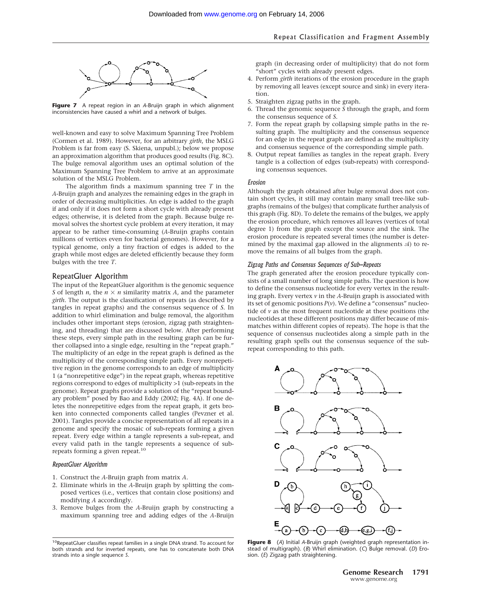

**Figure 7** A repeat region in an *A*-Bruijn graph in which alignment inconsistencies have caused a whirl and a network of bulges.

well-known and easy to solve Maximum Spanning Tree Problem (Cormen et al. 1989). However, for an arbitrary *girth*, the MSLG Problem is far from easy (S. Skiena, unpubl.); below we propose an approximation algorithm that produces good results (Fig. 8C). The bulge removal algorithm uses an optimal solution of the Maximum Spanning Tree Problem to arrive at an approximate solution of the MSLG Problem.

The algorithm finds a maximum spanning tree *T* in the *A*-Bruijn graph and analyzes the remaining edges in the graph in order of decreasing multiplicities. An edge is added to the graph if and only if it does not form a short cycle with already present edges; otherwise, it is deleted from the graph. Because bulge removal solves the shortest cycle problem at every iteration, it may appear to be rather time-consuming (*A*-Bruijn graphs contain millions of vertices even for bacterial genomes). However, for a typical genome, only a tiny fraction of edges is added to the graph while most edges are deleted efficiently because they form bulges with the tree *T*.

### RepeatGluer Algorithm

The input of the RepeatGluer algorithm is the genomic sequence *S* of length *n*, the  $n \times n$  similarity matrix *A*, and the parameter *girth*. The output is the classification of repeats (as described by tangles in repeat graphs) and the consensus sequence of *S*. In addition to whirl elimination and bulge removal, the algorithm includes other important steps (erosion, zigzag path straightening, and threading) that are discussed below. After performing these steps, every simple path in the resulting graph can be further collapsed into a single edge, resulting in the "repeat graph." The multiplicity of an edge in the repeat graph is defined as the multiplicity of the corresponding simple path. Every nonrepetitive region in the genome corresponds to an edge of multiplicity 1 (a "nonrepetitive edge") in the repeat graph, whereas repetitive regions correspond to edges of multiplicity >1 (sub-repeats in the genome). Repeat graphs provide a solution of the "repeat boundary problem" posed by Bao and Eddy (2002; Fig. 4A). If one deletes the nonrepetitive edges from the repeat graph, it gets broken into connected components called tangles (Pevzner et al. 2001). Tangles provide a concise representation of all repeats in a genome and specify the mosaic of sub-repeats forming a given repeat. Every edge within a tangle represents a sub-repeat, and every valid path in the tangle represents a sequence of subrepeats forming a given repeat.<sup>10</sup>

### *RepeatGluer Algorithm*

- 1. Construct the *A*-Bruijn graph from matrix *A*.
- 2. Eliminate whirls in the *A*-Bruijn graph by splitting the composed vertices (i.e., vertices that contain close positions) and modifying *A* accordingly.
- 3. Remove bulges from the *A*-Bruijn graph by constructing a maximum spanning tree and adding edges of the *A*-Bruijn

graph (in decreasing order of multiplicity) that do not form "short" cycles with already present edges.

- 4. Perform *girth* iterations of the erosion procedure in the graph by removing all leaves (except source and sink) in every iteration.
- 5. Straighten zigzag paths in the graph.
- 6. Thread the genomic sequence *S* through the graph, and form the consensus sequence of *S*.
- 7. Form the repeat graph by collapsing simple paths in the resulting graph. The multiplicity and the consensus sequence for an edge in the repeat graph are defined as the multiplicity and consensus sequence of the corresponding simple path.
- 8. Output repeat families as tangles in the repeat graph. Every tangle is a collection of edges (sub-repeats) with corresponding consensus sequences.

#### *Erosion*

Although the graph obtained after bulge removal does not contain short cycles, it still may contain many small tree-like subgraphs (remains of the bulges) that complicate further analysis of this graph (Fig. 8D). To delete the remains of the bulges, we apply the erosion procedure, which removes all leaves (vertices of total degree 1) from the graph except the source and the sink. The erosion procedure is repeated several times (the number is determined by the maximal gap allowed in the alignments  $A$ ) to remove the remains of all bulges from the graph.

#### *Zigzag Paths and Consensus Sequences of Sub-Repeats*

The graph generated after the erosion procedure typically consists of a small number of long simple paths. The question is how to define the consensus nucleotide for every vertex in the resulting graph. Every vertex *v* in the *A*-Bruijn graph is associated with its set of genomic positions *P*(*v*). We define a "consensus" nucleotide of *v* as the most frequent nucleotide at these positions (the nucleotides at these different positions may differ because of mismatches within different copies of repeats). The hope is that the sequence of consensus nucleotides along a simple path in the resulting graph spells out the consensus sequence of the subrepeat corresponding to this path.



**Figure 8** (*A*) Initial *A*-Bruijn graph (weighted graph representation instead of multigraph). (*B*) Whirl elimination. (*C*) Bulge removal. (*D*) Erosion. (*E*) Zigzag path straightening.

<sup>10</sup>RepeatGluer classifies repeat families in a single DNA strand. To account for both strands and for inverted repeats, one has to concatenate both DNA strands into a single sequence *S*.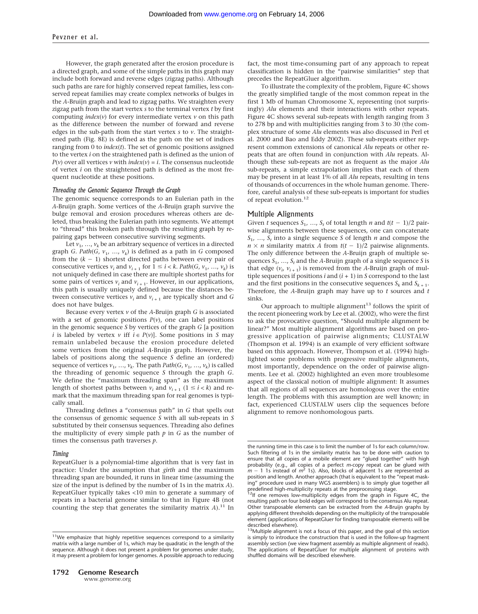However, the graph generated after the erosion procedure is a directed graph, and some of the simple paths in this graph may include both forward and reverse edges (zigzag paths). Although such paths are rare for highly conserved repeat families, less conserved repeat families may create complex networks of bulges in the *A*-Bruijn graph and lead to zigzag paths. We straighten every zigzag path from the start vertex *s* to the terminal vertex *t* by first computing *index*(*v*) for every intermediate vertex *v* on this path as the difference between the number of forward and reverse edges in the sub-path from the start vertex *s* to *v*. The straightened path (Fig. 8E) is defined as the path on the set of indices ranging from 0 to *index*(*t*). The set of genomic positions assigned to the vertex *i* on the straightened path is defined as the union of *P*(*v*) over all vertices *v* with *index*(*v*) = *i*. The consensus nucleotide of vertex *i* on the straightened path is defined as the most frequent nucleotide at these positions.

#### *Threading the Genomic Sequence Through the Graph*

The genomic sequence corresponds to an Eulerian path in the *A*-Bruijn graph. Some vertices of the *A*-Bruijn graph survive the bulge removal and erosion procedures whereas others are deleted, thus breaking the Eulerian path into segments. We attempt to "thread" this broken path through the resulting graph by repairing gaps between consecutive surviving segments.

Let  $v_1$ , ...,  $v_k$  be an arbitrary sequence of vertices in a directed graph *G*. *Path*(*G*,  $v_1$ , ...,  $v_k$ ) is defined as a path in *G* composed from the  $(k - 1)$  shortest directed paths between every pair of consecutive vertices  $v_i$  and  $v_{i+1}$  for  $1 \le i \le k$ . *Path*(*G*,  $v_1$ , ...,  $v_k$ ) is not uniquely defined in case there are multiple shortest paths for some pairs of vertices  $v_i$  and  $v_{i+1}$ . However, in our applications, this path is usually uniquely defined because the distances between consecutive vertices  $v_i$  and  $v_{i+1}$  are typically short and *G* does not have bulges.

Because every vertex *v* of the *A*-Bruijn graph *G* is associated with a set of genomic positions  $P(v)$ , one can label positions in the genomic sequence *S* by vertices of the graph *G* [a position *i* is labeled by vertex *v* iff  $i \in P(v)$ ]. Some positions in *S* may remain unlabeled because the erosion procedure deleted some vertices from the original *A*-Bruijn graph. However, the labels of positions along the sequence *S* define an (ordered) sequence of vertices  $v_1$ , ...,  $v_k$ . The path *Path*(*G*,  $v_1$ , ...,  $v_k$ ) is called the threading of genomic sequence *S* through the graph *G*. We define the "maximum threading span" as the maximum length of shortest paths between  $v_i$  and  $v_{i+1}$  ( $1 \le i \le k$ ) and remark that the maximum threading span for real genomes is typically small.

Threading defines a "consensus path" in *G* that spells out the consensus of genomic sequence *S* with all sub-repeats in *S* substituted by their consensus sequences. Threading also defines the multiplicity of every simple path  $p$  in  $G$  as the number of times the consensus path traverses *p*.

#### *Timing*

RepeatGluer is a polynomial-time algorithm that is very fast in practice: Under the assumption that *girth* and the maximum threading span are bounded, it runs in linear time (assuming the size of the input is defined by the number of 1s in the matrix *A*). RepeatGluer typically takes <10 min to generate a summary of repeats in a bacterial genome similar to that in Figure 4B (not counting the step that generates the similarity matrix  $A$ ).<sup>11</sup> In

fact, the most time-consuming part of any approach to repeat classification is hidden in the "pairwise similarities" step that precedes the RepeatGluer algorithm.

To illustrate the complexity of the problem, Figure 4C shows the greatly simplified tangle of the most common repeat in the first 1 Mb of human Chromosome X, representing (not surprisingly) *Alu* elements and their interactions with other repeats. Figure 4C shows several sub-repeats with length ranging from 3 to 278 bp and with multiplicities ranging from 3 to 30 (the complex structure of some *Alu* elements was also discussed in Perl et al. 2000 and Bao and Eddy 2002). These sub-repeats either represent common extensions of canonical *Alu* repeats or other repeats that are often found in conjunction with *Alu* repeats. Although these sub-repeats are not as frequent as the major *Alu* sub-repeats, a simple extrapolation implies that each of them may be present in at least 1% of all *Alu* repeats, resulting in tens of thousands of occurrences in the whole human genome. Therefore, careful analysis of these sub-repeats is important for studies of repeat evolution.<sup>12</sup>

#### Multiple Alignments

Given *t* sequences  $S_1$ , ...,  $S_t$  of total length *n* and  $t(t-1)/2$  pairwise alignments between these sequences, one can concatenate *S*1, …, *St* into a single sequence *S* of length *n* and compose the  $n \times n$  similarity matrix A from  $t(t-1)/2$  pairwise alignments. The only difference between the *A*-Bruijn graph of multiple sequences  $S_1$ , ...,  $S_t$  and the *A*-Bruijn graph of a single sequence *S* is that edge  $(v_i, v_{i+1})$  is removed from the *A*-Bruijn graph of multiple sequences if positions  $i$  and  $(i + 1)$  in  $S$  correspond to the last and the first positions in the consecutive sequences  $S_k$  and  $S_{k+1}$ . Therefore, the *A*-Bruijn graph may have up to *t* sources and *t* sinks.

Our approach to multiple alignment $^{13}$  follows the spirit of the recent pioneering work by Lee et al. (2002), who were the first to ask the provocative question, "Should multiple alignment be linear?" Most multiple alignment algorithms are based on progressive application of pairwise alignments; CLUSTALW (Thompson et al. 1994) is an example of very efficient software based on this approach. However, Thompson et al. (1994) highlighted some problems with progressive multiple alignments, most importantly, dependence on the order of pairwise alignments. Lee et al. (2002) highlighted an even more troublesome aspect of the classical notion of multiple alignment: It assumes that all regions of all sequences are homologous over the entire length. The problems with this assumption are well known; in fact, experienced CLUSTALW users clip the sequences before alignment to remove nonhomologous parts.

<sup>&</sup>lt;sup>11</sup>We emphasize that highly repetitive sequences correspond to a similarity matrix with a large number of 1s, which may be quadratic in the length of the sequence. Although it does not present a problem for genomes under study, it may present a problem for longer genomes. A possible approach to reducing

the running time in this case is to limit the number of 1s for each column/row. Such filtering of 1s in the similarity matrix has to be done with caution to ensure that all copies of a mobile element are "glued together" with high probability (e.g., all copies of a perfect *m*-copy repeat can be glued with *m* - 1 1s instead of *m*<sup>2</sup> 1s). Also, blocks of adjacent 1s are represented as position and length. Another approach (that is equivalent to the "repeat masking" procedure used in many WGS assemblers) is to simply glue together all

predefined high-multiplicity repeats at the preprocessing stage.<br><sup>12</sup>If one removes low-multiplicity edges from the graph in Figure 4C, the resulting path on four bold edges will correspond to the consensus Alu repeat. Other transposable elements can be extracted from the *A*-Bruijn graphs by applying different thresholds depending on the multiplicity of the transposable element (applications of RepeatGluer for finding transposable elements will be described elsewhere).

<sup>&</sup>lt;sup>13</sup>Multiple alignment is not a focus of this paper, and the goal of this section is simply to introduce the construction that is used in the follow-up fragment assembly section (we view fragment assembly as multiple alignment of reads). The applications of RepeatGluer for multiple alignment of proteins with shuffled domains will be described elsewhere.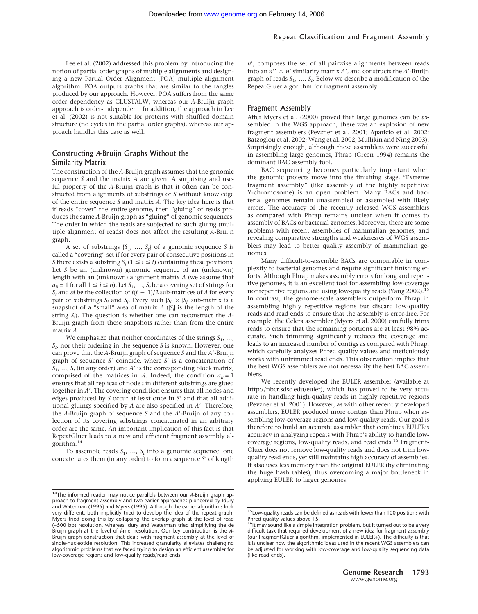Lee et al. (2002) addressed this problem by introducing the notion of partial order graphs of multiple alignments and designing a new Partial Order Alignment (POA) multiple alignment algorithm. POA outputs graphs that are similar to the tangles produced by our approach. However, POA suffers from the same order dependency as CLUSTALW, whereas our *A*-Bruijn graph approach is order-independent. In addition, the approach in Lee et al. (2002) is not suitable for proteins with shuffled domain structure (no cycles in the partial order graphs), whereas our approach handles this case as well.

#### Constructing *A*-Bruijn Graphs Without the Similarity Matrix

The construction of the *A*-Bruijn graph assumes that the genomic sequence *S* and the matrix *A* are given. A surprising and useful property of the *A*-Bruijn graph is that it often can be constructed from alignments of substrings of *S* without knowledge of the entire sequence *S* and matrix *A*. The key idea here is that if reads "cover" the entire genome, then "gluing" of reads produces the same *A*-Bruijn graph as "gluing" of genomic sequences. The order in which the reads are subjected to such gluing (multiple alignment of reads) does not affect the resulting *A*-Bruijn graph.

A set of substrings {*S*1, …, *St* } of a genomic sequence *S* is called a "covering" set if for every pair of consecutive positions in *S* there exists a substring  $S_i$  ( $1 \le i \le t$ ) containing these positions. Let *S* be an (unknown) genomic sequence of an (unknown) length with an (unknown) alignment matrix *A* (we assume that  $a_{ii}$  = 1 for all  $1 \le i \le n$ ). Let  $S_1$ , ...,  $S_t$  be a covering set of strings for *S*, and  $\mathcal A$  be the collection of  $t(t-1)/2$  sub-matrices of *A* for every pair of substrings  $S_i$  and  $S_j$ . Every such  $|S_i| \times |S_j|$  sub-matrix is a snapshot of a "small" area of matrix *A* (|*Si* | is the length of the string *Si* ). The question is whether one can reconstruct the *A*-Bruijn graph from these snapshots rather than from the entire matrix *A*.

We emphasize that neither coordinates of the strings  $S_1$ , ..., *St* , nor their ordering in the sequence *S* is known. However, one can prove that the *A*-Bruijn graph of sequence *S* and the *A*-Bruijn graph of sequence *S'* coincide, where *S'* is a concatenation of  $S_1$ , ...,  $S_t$  (in any order) and *A*<sup> $\prime$ </sup> is the corresponding block matrix, comprised of the matrices in  $\mathcal{A}$ . Indeed, the condition  $a_{ii} = 1$ ensures that all replicas of node *i* in different substrings are glued together in *A*. The covering condition ensures that all nodes and edges produced by *S* occur at least once in *S'* and that all additional gluings specified by *A* are also specified in *A*. Therefore, the *A*-Bruijn graph of sequence *S* and the *A*-Bruijn of any collection of its covering substrings concatenated in an arbitrary order are the same. An important implication of this fact is that RepeatGluer leads to a new and efficient fragment assembly algorithm. $14$ 

To assemble reads  $S_1$ , ...,  $S_t$  into a genomic sequence, one concatenates them (in any order) to form a sequence *S'* of length *n*, composes the set of all pairwise alignments between reads into an  $n'' \times n'$  similarity matrix *A'*, and constructs the *A'*-Bruijn graph of reads *S*1, …, *St* . Below we describe a modification of the RepeatGluer algorithm for fragment assembly.

#### Fragment Assembly

After Myers et al. (2000) proved that large genomes can be assembled in the WGS approach, there was an explosion of new fragment assemblers (Pevzner et al. 2001; Aparicio et al. 2002; Batzoglou et al. 2002; Wang et al. 2002; Mullikin and Ning 2003). Surprisingly enough, although these assemblers were successful in assembling large genomes, Phrap (Green 1994) remains the dominant BAC assembly tool.

BAC sequencing becomes particularly important when the genomic projects move into the finishing stage. "Extreme fragment assembly" (like assembly of the highly repetitive Y-chromosome) is an open problem: Many BACs and bacterial genomes remain unassembled or assembled with likely errors. The accuracy of the recently released WGS assemblers as compared with Phrap remains unclear when it comes to assembly of BACs or bacterial genomes. Moreover, there are some problems with recent assemblies of mammalian genomes, and revealing comparative strengths and weaknesses of WGS assemblers may lead to better quality assembly of mammalian genomes.

Many difficult-to-assemble BACs are comparable in complexity to bacterial genomes and require significant finishing efforts. Although Phrap makes assembly errors for long and repetitive genomes, it is an excellent tool for assembling low-coverage nonrepetitive regions and using low-quality reads (Yang 2002).<sup>1</sup> In contrast, the genome-scale assemblers outperform Phrap in assembling highly repetitive regions but discard low-quality reads and read ends to ensure that the assembly is error-free. For example, the Celera assembler (Myers et al. 2000) carefully trims reads to ensure that the remaining portions are at least 98% accurate. Such trimming significantly reduces the coverage and leads to an increased number of contigs as compared with Phrap, which carefully analyzes Phred quality values and meticulously works with untrimmed read ends. This observation implies that the best WGS assemblers are not necessarily the best BAC assemblers.

We recently developed the EULER assembler (available at http://nbcr.sdsc.edu/euler), which has proved to be very accurate in handling high-quality reads in highly repetitive regions (Pevzner et al. 2001). However, as with other recently developed assemblers, EULER produced more contigs than Phrap when assembling low-coverage regions and low-quality reads. Our goal is therefore to build an accurate assembler that combines EULER's accuracy in analyzing repeats with Phrap's ability to handle lowcoverage regions, low-quality reads, and read ends.<sup>16</sup> Fragment-Gluer does not remove low-quality reads and does not trim lowquality read ends, yet still maintains high accuracy of assemblies. It also uses less memory than the original EULER (by eliminating the huge hash tables), thus overcoming a major bottleneck in applying EULER to larger genomes.

<sup>14</sup>The informed reader may notice parallels between our *A*-Bruijn graph approach to fragment assembly and two earlier approaches pioneered by Idury and Waterman (1995) and Myers (1995). Although the earlier algorithms look very different, both implicitly tried to develop the idea of the repeat graph. Myers tried doing this by collapsing the overlap graph at the level of read (∼500 bp) resolution, whereas Idury and Waterman tried simplifying the de Bruijn graph at the level of *l*-mer resolution. Our key contribution is the *A*-Bruijn graph construction that deals with fragment assembly at the level of single-nucleotide resolution. This increased granularity alleviates challenging algorithmic problems that we faced trying to design an efficient assembler for low-coverage regions and low-quality reads/read ends.

<sup>&</sup>lt;sup>15</sup> Low-quality reads can be defined as reads with fewer than 100 positions with Phred quality values above 15.

 $16$ It may sound like a simple integration problem, but it turned out to be a very difficult task that required development of a new idea for fragment assembly (our FragmentGluer algorithm, implemented in EULER+). The difficulty is that it is unclear how the algorithmic ideas used in the recent WGS assemblers can be adjusted for working with low-coverage and low-quality sequencing data (like read ends).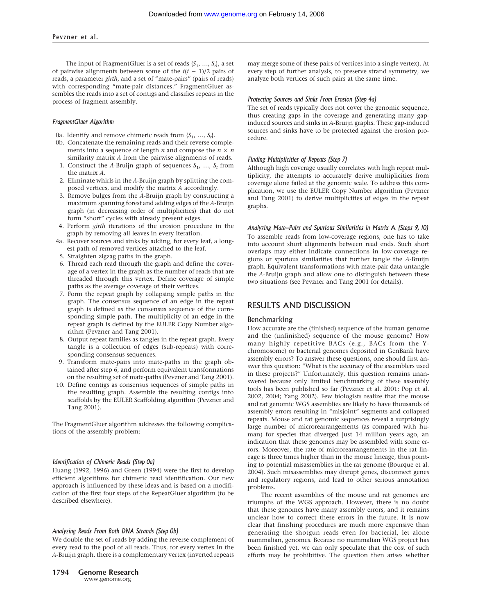The input of FragmentGluer is a set of reads {*S*1, …, *St* }, a set of pairwise alignments between some of the  $t(t - 1)/2$  pairs of reads, a parameter *girth*, and a set of "mate-pairs" (pairs of reads) with corresponding "mate-pair distances." FragmentGluer assembles the reads into a set of contigs and classifies repeats in the process of fragment assembly.

#### *FragmentGluer Algorithm*

- 0a. Identify and remove chimeric reads from  $\{S_1, \ldots, S_t\}$ .
- 0b. Concatenate the remaining reads and their reverse complements into a sequence of length *n* and compose the  $n \times n$ similarity matrix *A* from the pairwise alignments of reads.
- 1. Construct the *A*-Bruijn graph of sequences  $S_1$ , ...,  $S_t$  from the matrix *A*.
- 2. Eliminate whirls in the *A*-Bruijn graph by splitting the composed vertices, and modify the matrix *A* accordingly.
- 3. Remove bulges from the *A*-Bruijn graph by constructing a maximum spanning forest and adding edges of the *A*-Bruijn graph (in decreasing order of multiplicities) that do not form "short" cycles with already present edges.
- 4. Perform *girth* iterations of the erosion procedure in the graph by removing all leaves in every iteration.
- 4a. Recover sources and sinks by adding, for every leaf, a longest path of removed vertices attached to the leaf.
- 5. Straighten zigzag paths in the graph.
- 6. Thread each read through the graph and define the coverage of a vertex in the graph as the number of reads that are threaded through this vertex. Define coverage of simple paths as the average coverage of their vertices.
- 7. Form the repeat graph by collapsing simple paths in the graph. The consensus sequence of an edge in the repeat graph is defined as the consensus sequence of the corresponding simple path. The multiplicity of an edge in the repeat graph is defined by the EULER Copy Number algorithm (Pevzner and Tang 2001).
- 8. Output repeat families as tangles in the repeat graph. Every tangle is a collection of edges (sub-repeats) with corresponding consensus sequences.
- 9. Transform mate-pairs into mate-paths in the graph obtained after step 6, and perform equivalent transformations on the resulting set of mate-paths (Pevzner and Tang 2001).
- 10. Define contigs as consensus sequences of simple paths in the resulting graph. Assemble the resulting contigs into scaffolds by the EULER Scaffolding algorithm (Pevzner and Tang 2001).

The FragmentGluer algorithm addresses the following complications of the assembly problem:

#### *Identification of Chimeric Reads (Step 0a)*

Huang (1992, 1996) and Green (1994) were the first to develop efficient algorithms for chimeric read identification. Our new approach is influenced by these ideas and is based on a modification of the first four steps of the RepeatGluer algorithm (to be described elsewhere).

#### *Analyzing Reads From Both DNA Strands (Step 0b)*

We double the set of reads by adding the reverse complement of every read to the pool of all reads. Thus, for every vertex in the *A*-Bruijn graph, there is a complementary vertex (inverted repeats may merge some of these pairs of vertices into a single vertex). At every step of further analysis, to preserve strand symmetry, we analyze both vertices of such pairs at the same time.

#### *Protecting Sources and Sinks From Erosion (Step 4a)*

The set of reads typically does not cover the genomic sequence, thus creating gaps in the coverage and generating many gapinduced sources and sinks in *A*-Bruijn graphs. These gap-induced sources and sinks have to be protected against the erosion procedure.

#### *Finding Multiplicities of Repeats (Step 7)*

Although high coverage usually correlates with high repeat multiplicity, the attempts to accurately derive multiplicities from coverage alone failed at the genomic scale. To address this complication, we use the EULER Copy Number algorithm (Pevzner and Tang 2001) to derive multiplicities of edges in the repeat graphs.

*Analyzing Mate-Pairs and Spurious Similarities in Matrix* A *(Steps 9, 10)* To assemble reads from low-coverage regions, one has to take into account short alignments between read ends. Such short overlaps may either indicate connections in low-coverage regions or spurious similarities that further tangle the *A*-Bruijn graph. Equivalent transformations with mate-pair data untangle the *A*-Bruijn graph and allow one to distinguish between these two situations (see Pevzner and Tang 2001 for details).

#### RESULTS AND DISCUSSION

#### Benchmarking

How accurate are the (finished) sequence of the human genome and the (unfinished) sequence of the mouse genome? How many highly repetitive BACs (e.g., BACs from the Ychromosome) or bacterial genomes deposited in GenBank have assembly errors? To answer these questions, one should first answer this question: "What is the accuracy of the assemblers used in these projects?" Unfortunately, this question remains unanswered because only limited benchmarking of these assembly tools has been published so far (Pevzner et al. 2001; Pop et al. 2002, 2004; Yang 2002). Few biologists realize that the mouse and rat genomic WGS assemblies are likely to have thousands of assembly errors resulting in "misjoint" segments and collapsed repeats. Mouse and rat genomic sequences reveal a surprisingly large number of microrearrangements (as compared with human) for species that diverged just 14 million years ago, an indication that these genomes may be assembled with some errors. Moreover, the rate of microrearrangements in the rat lineage is three times higher than in the mouse lineage, thus pointing to potential misassemblies in the rat genome (Bourque et al. 2004). Such misassemblies may disrupt genes, disconnect genes and regulatory regions, and lead to other serious annotation problems.

The recent assemblies of the mouse and rat genomes are triumphs of the WGS approach. However, there is no doubt that these genomes have many assembly errors, and it remains unclear how to correct these errors in the future. It is now clear that finishing procedures are much more expensive than generating the shotgun reads even for bacterial, let alone mammalian, genomes. Because no mammalian WGS project has been finished yet, we can only speculate that the cost of such efforts may be prohibitive. The question then arises whether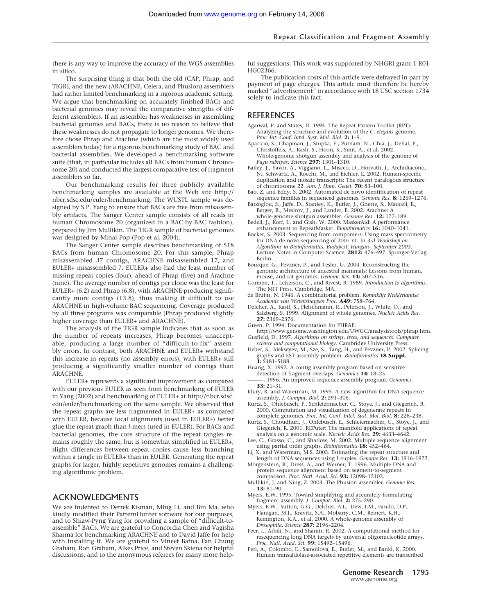there is any way to improve the accuracy of the WGS assemblies in silico.

The surprising thing is that both the old (CAP, Phrap, and TIGR), and the new (ARACHNE, Celera, and Phusion) assemblers had rather limited benchmarking in a rigorous academic setting. We argue that benchmarking on accurately finished BACs and bacterial genomes may reveal the comparative strengths of different assemblers. If an assembler has weaknesses in assembling bacterial genomes and BACs, there is no reason to believe that these weaknesses do not propagate to longer genomes. We therefore chose Phrap and Arachne (which are the most widely used assemblers today) for a rigorous benchmarking study of BAC and bacterial assemblies. We developed a benchmarking software suite (that, in particular includes all BACs from human Chromosome 20) and conducted the largest comparative test of fragment assemblers so far.

Our benchmarking results for three publicly available benchmarking samples are available at the Web site http:// nbcr.sdsc.edu/euler/benchmarking. The WUSTL sample was designed by S.P. Yang to ensure that BACs are free from misassembly artifacts. The Sanger Center sample consists of all reads in human Chromosome 20 (organized in a BAC-by-BAC fashion), prepared by Jim Mullikin. The TIGR sample of bacterial genomes was designed by Mihai Pop (Pop et al. 2004).

The Sanger Center sample describes benchmarking of 518 BACs from human Chromosome 20. For this sample, Phrap misassembled 37 contigs, ARACHNE misassembled 17, and EULER+ misassembled 7. EULER+ also had the least number of missing repeat copies (four), ahead of Phrap (five) and Arachne (nine). The average number of contigs per clone was the least for EULER+ (6.2) and Phrap (6.8), with ARACHNE producing significantly more contigs (13.8), thus making it difficult to use ARACHNE in high-volume BAC sequencing. Coverage produced by all three programs was comparable (Phrap produced slightly higher coverage than EULER+ and ARACHNE).

The analysis of the TIGR sample indicates that as soon as the number of repeats increases, Phrap becomes unacceptable, producing a large number of "difficult-to-fix" assembly errors. In contrast, both ARACHNE and EULER+ withstand this increase in repeats (no assembly errors), with EULER+ still producing a significantly smaller number of contigs than ARACHNE.

EULER+ represents a significant improvement as compared with our previous EULER as seen from benchmarking of EULER in Yang (2002) and benchmarking of EULER+ at http://nbcr.sdsc. edu/euler/benchmarking on the same sample. We observed that the repeat graphs are less fragmented in EULER+ as compared with EULER, because local alignments (used in EULER+) better glue the repeat graph than *l*-mers (used in EULER). For BACs and bacterial genomes, the core structure of the repeat tangles remains roughly the same, but is somewhat simplified in EULER+; slight differences between repeat copies cause less branching within a tangle in EULER+ than in EULER. Generating the repeat graphs for larger, highly repetitive genomes remains a challenging algorithmic problem.

# ACKNOWLEDGMENTS

We are indebted to Derrek Kisman, Ming Li, and Bin Ma, who kindly modified their PatternHunter software for our purposes, and to Shiaw-Pyng Yang for providing a sample of "difficult-toassemble" BACs. We are grateful to Concordia Chen and Vagisha Sharma for benchmarking ARACHNE and to David Jaffe for help with installing it. We are grateful to Vineet Bafna, Fan Chung Graham, Ron Graham, Alkes Price, and Steven Skiena for helpful discussions, and to the anonymous referees for many more helpful suggestions. This work was supported by NHGRI grant 1 R01 HG02366.

The publication costs of this article were defrayed in part by payment of page charges. This article must therefore be hereby marked "advertisement" in accordance with 18 USC section 1734 solely to indicate this fact.

# REFERENCES

- Agarwal, P. and States, D. 1994. The Repeat Pattern Toolkit (RPT): Analyzing the structure and evolution of the *C. elegans* genome. *Proc. Int. Conf. Intel. Syst. Mol. Biol.* **2:** 1–9.
- Aparicio, S., Chapman, J., Stupka, E., Putnam, N., Chia, J., Dehal, P., Christoffels, A., Rash, S., Hoon, S., Smit, A., et al. 2002. Whole-genome shotgun assembly and analysis of the genome of *Fugu rubripes*. *Science* **297:** 1301–1310.
- Bailey, J., Yavor, A., Viggiano, L., Misceo, D., Horvath, J., Archidiacono, N., Schwartz, A., Rocchi, M., and Eichler, E. 2002. Human-specific duplication and mosaic transcripts: The recent paralogous structure of chromosome 22. *Am. J. Hum. Genet.* **70:** 83–100.
- Bao, Z. and Eddy, S. 2002. Automated de novo identification of repeat sequence families in sequenced genomes. *Genome Res.* **8:** 1269–1276.
- Batzoglou, S., Jaffe, D., Stanley, K., Butler, J., Gnerre, S., Mauceli, E., Berger, B., Mesirov, J., and Lander, E. 2002. Arachne: A whole-genome shotgun assembler. *Genome Res.* **12:** 177–189.
- Bedell, J., Korf, I., and Gish, W. 2000. MaskerAid: A performance enhancement to RepeatMasker. *Bioinformatics* **16:** 1040–1041.
- Bocker, S. 2003. Sequencing from compomers: Using mass spectrometry for DNA de-novo sequencing of 200+ nt. In *3rd Workshop on Algorithms in Bioinformatics, Budapest, Hungary, September 2003.* Lecture Notes in Computer Science, **2812:** 476–497. Springer-Verlag, Berlin.
- Bourque, G., Pevzner, P., and Tesler, G. 2004. Reconstructing the genomic architecture of ancestral mammals: Lessons from human, mouse, and rat genomes. *Genome Res.* **14:** 507–516.
- Cormen, T., Leiserson, C., and Rivest, R. 1989. *Introduction to algorithms.* The MIT Press, Cambridge, MA.
- de Bruijn, N. 1946. A combinatorial problem. *Koninklije Nedderlandse Academie van Wetenshappen Proc.* **A49:** 758–764.
- Delcher, A., Kasif, S., Fleischmann, R., Peterson, J., White, O., and Salzberg, S. 1999. Alignment of whole genomes. *Nucleic Acids Res.* **27:** 2369–2376.
- Green, P. 1994. Documentation for PHRAP.
- http://www.genome.washington.edu/UWGC/analysistools/phrap.htm. Gusfield, D. 1997. *Algorithms on strings, trees, and sequences. Computer*
- *science and computational biology.* Cambridge University Press. Heber, S., Alekseyev, M., Sze, S., Tang, H., and Pevzner, P. 2002. Splicing graphs and EST assembly problem. *Bioinformatics* **18 Suppl.**
- **1:** S181–S188. Huang, X. 1992. A contig assembly program based on sensitive detection of fragment overlaps. *Genomics* **14:** 18–25.
- ———. 1996. An improved sequence assembly program. *Genomics* **33:** 21–31.
- Idury, R. and Waterman, M. 1995. A new algorithm for DNA sequence assembly. *J. Comput. Biol.* **2:** 291–306.
- Kurtz, S., Ohlebusch, F., Schleiermacher, C., Stoye, J., and Giegerich, R. 2000. Computation and visualization of degenerate repeats in complete genomes. *Proc. Int. Conf. Intel. Syst. Mol. Biol.* **8:** 228–238.
- Kurtz, S., Choudhuri, J., Ohlebusch, E., Schleiermacher, C., Stoye, J., and Giegerich, R. 2001. REPuter: The manifold applications of repeat analysis on a genomic scale. *Nucleic Acids Res.* **29:** 4633–4642.
- Lee, C., Grasso, C., and Sharlow, M. 2002. Multiple sequence alignment using partial order graphs. *Bioinformatics* **18:** 452–464.
- Li, X. and Waterman, M.S. 2003. Estimating the repeat structure and length of DNA sequences using *L*-tuples. *Genome Res.* **13:** 1916–1922.
- Morgenstern, B., Dress, A., and Werner, T. 1996. Multiple DNA and protein sequence alignment based on segment-to-segment comparison. *Proc. Natl. Acad. Sci.* **93:** 12098–12103.
- Mullikin, J. and Ning, Z. 2003. The Phusion assembler. *Genome Res.* **13:** 81–90.
- Myers, E.W. 1995. Toward simplifying and accurately formulating fragment assembly. *J. Comput. Biol.* **2:** 275–290.
- Myers, E.W., Sutton, G.G., Delcher, A.L., Dew, I.M., Fasulo, D.P., Flanigan, M.J., Kravitz, S.A., Mobarry, C.M., Reinert, K.H., Remington, K.A., et al. 2000. A whole-genome assembly of *Drosophila*. *Science* **287:** 2196–2204.
- Peer, I., Arbili, N., and Shamir, R. 2002. A computational method for resequencing long DNA targets by universal oligonucleotide arrays. *Proc. Natl. Acad. Sci.* **99:** 15492–15496.
- Perl, A., Colombo, E., Samoilova, E., Butler, M., and Banki, K. 2000. Human transaldolase-associated repetitive elements are transcribed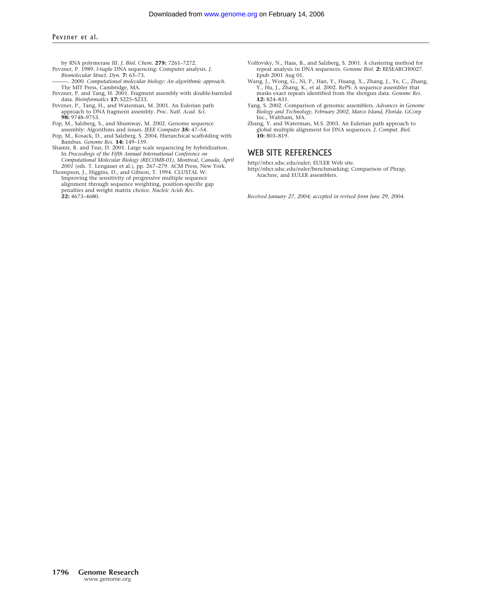by RNA polymerase III. *J. Biol. Chem.* **275:** 7261–7272.

- Pevzner, P. 1989. *l*-tuple DNA sequencing: Computer analysis. *J. Biomolecular Struct. Dyn.* **7:** 63–73.
- ———. 2000. *Computational molecular biology: An algorithmic approach*.
- The MIT Press, Cambridge, MA. Pevzner, P. and Tang, H. 2001. Fragment assembly with double-barreled
- data. *Bioinformatics* **17:** S225–S233. Pevzner, P., Tang, H., and Waterman, M. 2001. An Eulerian path approach to DNA fragment assembly. *Proc. Natl. Acad. Sci.* **98:** 9748–9753.
- Pop, M., Salzberg, S., and Shumway, M. 2002. Genome sequence assembly: Algorithms and issues. *IEEE Computer* **35:** 47–54.
- Pop, M., Kosack, D., and Salzberg, S. 2004. Hierarchical scaffolding with Bambus. *Genome Res.* **14:** 149–159.
- Shamir, R. and Tsur, D. 2001. Large scale sequencing by hybridization. In *Proceedings of the Fifth Annual International Conference on Computational Molecular Biology (RECOMB-01), Montreal, Canada, April 2001* (eds. T. Lengauer et al.), pp. 267–279. ACM Press, New York.
- Thompson, J., Higgins, D., and Gibson, T. 1994. CLUSTAL W: Improving the sensitivity of progressive multiple sequence alignment through sequence weighting, position-specific gap penalties and weight matrix choice. *Nucleic Acids Res.* **22:** 4673–4680.
- Volfovsky, N., Haas, B., and Salzberg, S. 2001. A clustering method for repeat analysis in DNA sequences. *Genome Biol.* **2:** RESEARCH0027. Epub 2001 Aug 01.
- Wang, J., Wong, G., Ni, P., Han, Y., Huang, X., Zhang, J., Ye, C., Zhang, Y., Hu, J., Zhang, K., et al. 2002. RePS: A sequence assembler that masks exact repeats identified from the shotgun data. *Genome Res.* **12:** 824–831.
- Yang, S. 2002. Comparison of genomic assemblers. *Advances in Genome Biology and Technology, February 2002, Marco Island, Florida.* GCorp
- Inc., Waltham, MA. Zhang, Y. and Waterman, M.S. 2003. An Eulerian path approach to global multiple alignment for DNA sequences. *J. Comput. Biol.* **10:** 803–819.

### WEB SITE REFERENCES

http//nbcr.sdsc.edu/euler; EULER Web site. http//nbcr.sdsc.edu/euler/benchmarking; Comparison of Phrap, Arachne, and EULER assemblers.

*Received January 27, 2004; accepted in revised form June 29, 2004.*